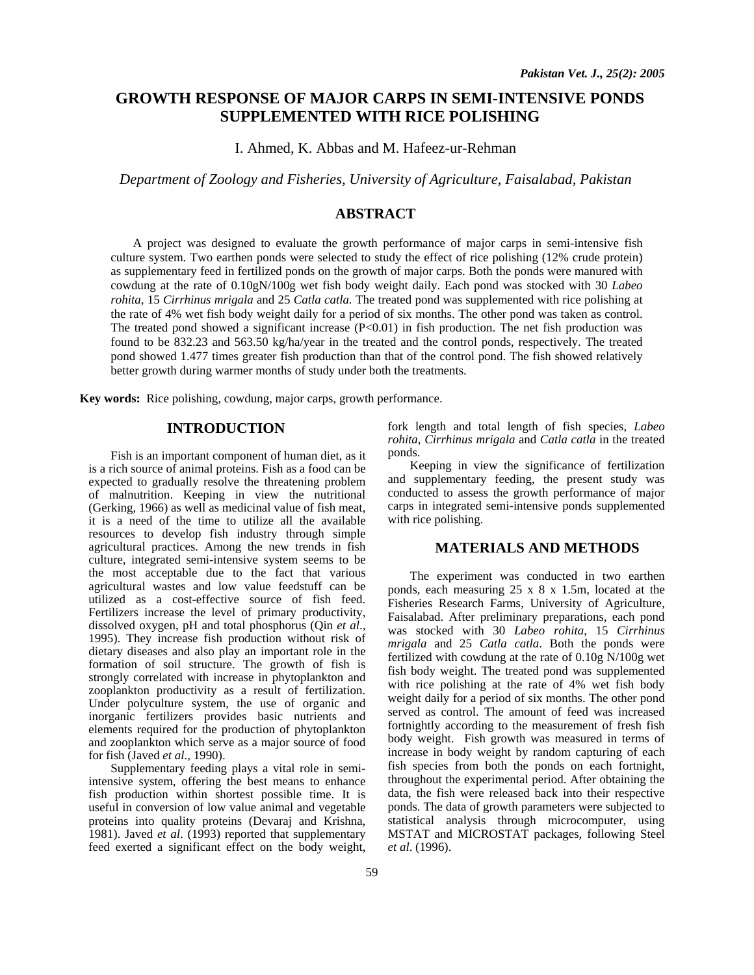# **GROWTH RESPONSE OF MAJOR CARPS IN SEMI-INTENSIVE PONDS SUPPLEMENTED WITH RICE POLISHING**

I. Ahmed, K. Abbas and M. Hafeez-ur-Rehman

*Department of Zoology and Fisheries, University of Agriculture, Faisalabad, Pakistan* 

# **ABSTRACT**

A project was designed to evaluate the growth performance of major carps in semi-intensive fish culture system. Two earthen ponds were selected to study the effect of rice polishing (12% crude protein) as supplementary feed in fertilized ponds on the growth of major carps. Both the ponds were manured with cowdung at the rate of 0.10gN/100g wet fish body weight daily. Each pond was stocked with 30 *Labeo rohita*, 15 *Cirrhinus mrigala* and 25 *Catla catla.* The treated pond was supplemented with rice polishing at the rate of 4% wet fish body weight daily for a period of six months. The other pond was taken as control. The treated pond showed a significant increase  $(P<0.01)$  in fish production. The net fish production was found to be 832.23 and 563.50 kg/ha/year in the treated and the control ponds, respectively. The treated pond showed 1.477 times greater fish production than that of the control pond. The fish showed relatively better growth during warmer months of study under both the treatments.

**Key words:** Rice polishing, cowdung, major carps, growth performance.

## **INTRODUCTION**

Fish is an important component of human diet, as it is a rich source of animal proteins. Fish as a food can be expected to gradually resolve the threatening problem of malnutrition. Keeping in view the nutritional (Gerking, 1966) as well as medicinal value of fish meat, it is a need of the time to utilize all the available resources to develop fish industry through simple agricultural practices. Among the new trends in fish culture, integrated semi-intensive system seems to be the most acceptable due to the fact that various agricultural wastes and low value feedstuff can be utilized as a cost-effective source of fish feed. Fertilizers increase the level of primary productivity, dissolved oxygen, pH and total phosphorus (Qin *et al*., 1995). They increase fish production without risk of dietary diseases and also play an important role in the formation of soil structure. The growth of fish is strongly correlated with increase in phytoplankton and zooplankton productivity as a result of fertilization. Under polyculture system, the use of organic and inorganic fertilizers provides basic nutrients and elements required for the production of phytoplankton and zooplankton which serve as a major source of food for fish (Javed *et al*., 1990).

Supplementary feeding plays a vital role in semiintensive system, offering the best means to enhance fish production within shortest possible time. It is useful in conversion of low value animal and vegetable proteins into quality proteins (Devaraj and Krishna, 1981). Javed *et al*. (1993) reported that supplementary feed exerted a significant effect on the body weight,

fork length and total length of fish species, *Labeo rohita, Cirrhinus mrigala* and *Catla catla* in the treated ponds.

Keeping in view the significance of fertilization and supplementary feeding, the present study was conducted to assess the growth performance of major carps in integrated semi-intensive ponds supplemented with rice polishing.

# **MATERIALS AND METHODS**

The experiment was conducted in two earthen ponds, each measuring 25 x 8 x 1.5m, located at the Fisheries Research Farms, University of Agriculture, Faisalabad. After preliminary preparations, each pond was stocked with 30 *Labeo rohita*, 15 *Cirrhinus mrigala* and 25 *Catla catla*. Both the ponds were fertilized with cowdung at the rate of 0.10g N/100g wet fish body weight. The treated pond was supplemented with rice polishing at the rate of 4% wet fish body weight daily for a period of six months. The other pond served as control. The amount of feed was increased fortnightly according to the measurement of fresh fish body weight. Fish growth was measured in terms of increase in body weight by random capturing of each fish species from both the ponds on each fortnight, throughout the experimental period. After obtaining the data, the fish were released back into their respective ponds. The data of growth parameters were subjected to statistical analysis through microcomputer, using MSTAT and MICROSTAT packages, following Steel *et al*. (1996).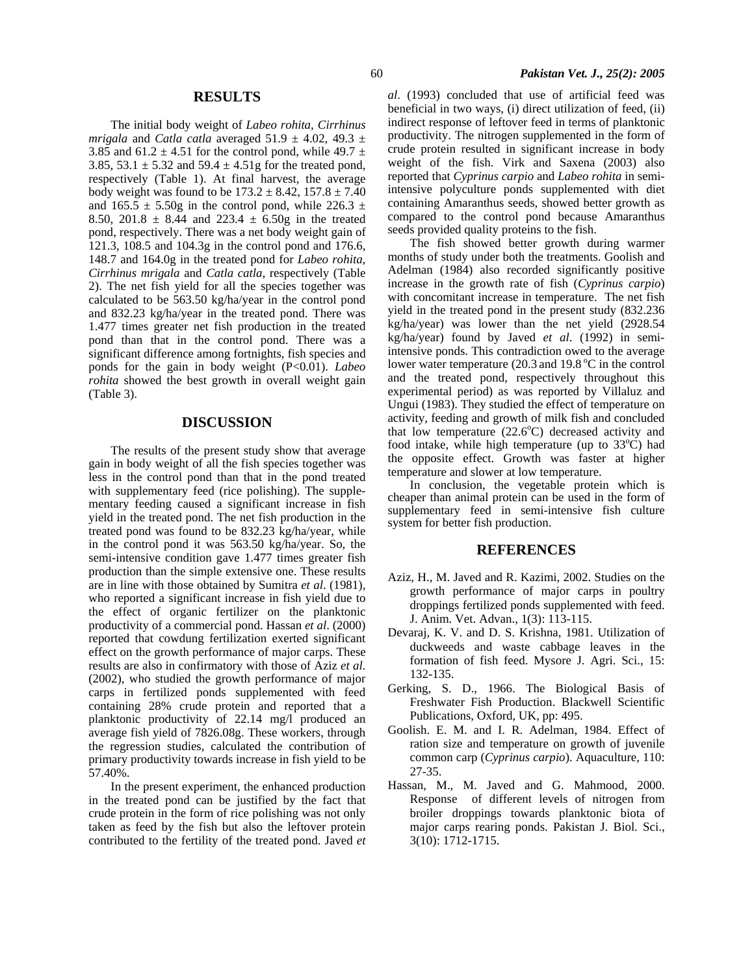#### **RESULTS**

The initial body weight of *Labeo rohita*, *Cirrhinus mrigala* and *Catla catla* averaged  $51.9 \pm 4.02$ ,  $49.3 \pm 4.02$ 3.85 and 61.2  $\pm$  4.51 for the control pond, while 49.7  $\pm$ 3.85, 53.1  $\pm$  5.32 and 59.4  $\pm$  4.51g for the treated pond, respectively (Table 1). At final harvest, the average body weight was found to be  $173.2 \pm 8.42$ ,  $157.8 \pm 7.40$ and  $165.5 \pm 5.50$ g in the control pond, while 226.3  $\pm$ 8.50, 201.8  $\pm$  8.44 and 223.4  $\pm$  6.50g in the treated pond, respectively. There was a net body weight gain of 121.3, 108.5 and 104.3g in the control pond and 176.6, 148.7 and 164.0g in the treated pond for *Labeo rohita, Cirrhinus mrigala* and *Catla catla*, respectively (Table 2). The net fish yield for all the species together was calculated to be 563.50 kg/ha/year in the control pond and 832.23 kg/ha/year in the treated pond. There was 1.477 times greater net fish production in the treated pond than that in the control pond. There was a significant difference among fortnights, fish species and ponds for the gain in body weight (P<0.01). *Labeo rohita* showed the best growth in overall weight gain (Table 3).

### **DISCUSSION**

The results of the present study show that average gain in body weight of all the fish species together was less in the control pond than that in the pond treated with supplementary feed (rice polishing). The supplementary feeding caused a significant increase in fish yield in the treated pond. The net fish production in the treated pond was found to be 832.23 kg/ha/year, while in the control pond it was 563.50 kg/ha/year. So, the semi-intensive condition gave 1.477 times greater fish production than the simple extensive one. These results are in line with those obtained by Sumitra *et al*. (1981), who reported a significant increase in fish yield due to the effect of organic fertilizer on the planktonic productivity of a commercial pond. Hassan *et al*. (2000) reported that cowdung fertilization exerted significant effect on the growth performance of major carps. These results are also in confirmatory with those of Aziz *et al*. (2002), who studied the growth performance of major carps in fertilized ponds supplemented with feed containing 28% crude protein and reported that a planktonic productivity of 22.14 mg/l produced an average fish yield of 7826.08g. These workers, through the regression studies, calculated the contribution of primary productivity towards increase in fish yield to be 57.40%.

In the present experiment, the enhanced production in the treated pond can be justified by the fact that crude protein in the form of rice polishing was not only taken as feed by the fish but also the leftover protein contributed to the fertility of the treated pond. Javed *et*  *al*. (1993) concluded that use of artificial feed was beneficial in two ways, (i) direct utilization of feed, (ii) indirect response of leftover feed in terms of planktonic productivity. The nitrogen supplemented in the form of crude protein resulted in significant increase in body weight of the fish. Virk and Saxena (2003) also reported that *Cyprinus carpio* and *Labeo rohita* in semiintensive polyculture ponds supplemented with diet containing Amaranthus seeds, showed better growth as compared to the control pond because Amaranthus seeds provided quality proteins to the fish.

The fish showed better growth during warmer months of study under both the treatments. Goolish and Adelman (1984) also recorded significantly positive increase in the growth rate of fish (*Cyprinus carpio*) with concomitant increase in temperature. The net fish yield in the treated pond in the present study (832.236 kg/ha/year) was lower than the net yield (2928.54 kg/ha/year) found by Javed *et al*. (1992) in semiintensive ponds. This contradiction owed to the average lower water temperature (20.3 and  $19.8\text{ °C}$  in the control and the treated pond, respectively throughout this experimental period) as was reported by Villaluz and Ungui (1983). They studied the effect of temperature on activity, feeding and growth of milk fish and concluded that low temperature  $(22.6^{\circ}C)$  decreased activity and food intake, while high temperature (up to  $33^{\circ}$ C) had the opposite effect. Growth was faster at higher temperature and slower at low temperature.

In conclusion, the vegetable protein which is cheaper than animal protein can be used in the form of supplementary feed in semi-intensive fish culture system for better fish production.

### **REFERENCES**

- Aziz, H., M. Javed and R. Kazimi, 2002. Studies on the growth performance of major carps in poultry droppings fertilized ponds supplemented with feed. J. Anim. Vet. Advan., 1(3): 113-115.
- Devaraj, K. V. and D. S. Krishna, 1981. Utilization of duckweeds and waste cabbage leaves in the formation of fish feed. Mysore J. Agri. Sci., 15: 132-135.
- Gerking, S. D., 1966. The Biological Basis of Freshwater Fish Production. Blackwell Scientific Publications, Oxford, UK, pp: 495.
- Goolish. E. M. and I. R. Adelman, 1984. Effect of ration size and temperature on growth of juvenile common carp (*Cyprinus carpio*). Aquaculture, 110: 27-35.
- Hassan, M., M. Javed and G. Mahmood, 2000. Response of different levels of nitrogen from broiler droppings towards planktonic biota of major carps rearing ponds. Pakistan J. Biol. Sci., 3(10): 1712-1715.